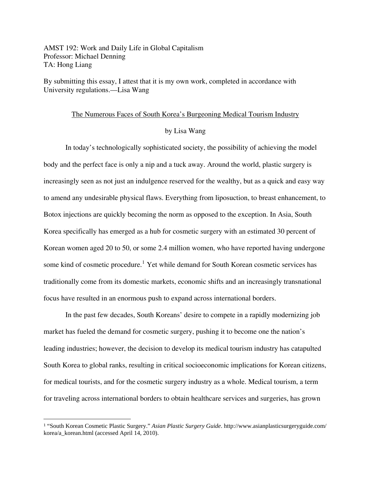AMST 192: Work and Daily Life in Global Capitalism Professor: Michael Denning TA: Hong Liang

By submitting this essay, I attest that it is my own work, completed in accordance with University regulations.—Lisa Wang

#### The Numerous Faces of South Korea's Burgeoning Medical Tourism Industry

## by Lisa Wang

In today's technologically sophisticated society, the possibility of achieving the model body and the perfect face is only a nip and a tuck away. Around the world, plastic surgery is increasingly seen as not just an indulgence reserved for the wealthy, but as a quick and easy way to amend any undesirable physical flaws. Everything from liposuction, to breast enhancement, to Botox injections are quickly becoming the norm as opposed to the exception. In Asia, South Korea specifically has emerged as a hub for cosmetic surgery with an estimated 30 percent of Korean women aged 20 to 50, or some 2.4 million women, who have reported having undergone some kind of cosmetic procedure.<sup>[1](#page-0-0)</sup> Yet while demand for South Korean cosmetic services has traditionally come from its domestic markets, economic shifts and an increasingly transnational focus have resulted in an enormous push to expand across international borders.

In the past few decades, South Koreans' desire to compete in a rapidly modernizing job market has fueled the demand for cosmetic surgery, pushing it to become one the nation's leading industries; however, the decision to develop its medical tourism industry has catapulted South Korea to global ranks, resulting in critical socioeconomic implications for Korean citizens, for medical tourists, and for the cosmetic surgery industry as a whole. Medical tourism, a term for traveling across international borders to obtain healthcare services and surgeries, has grown

<span id="page-0-0"></span><sup>1</sup> "South Korean Cosmetic Plastic Surgery." *Asian Plastic Surgery Guide*. http://www.asianplasticsurgeryguide.com/ korea/a\_korean.html (accessed April 14, 2010).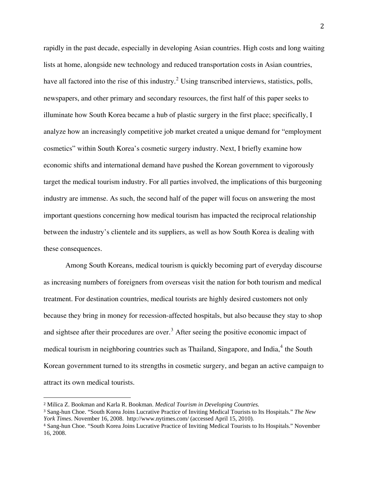rapidly in the past decade, especially in developing Asian countries. High costs and long waiting lists at home, alongside new technology and reduced transportation costs in Asian countries, have all factored into the rise of this industry.<sup>[2](#page-1-0)</sup> Using transcribed interviews, statistics, polls, newspapers, and other primary and secondary resources, the first half of this paper seeks to illuminate how South Korea became a hub of plastic surgery in the first place; specifically, I analyze how an increasingly competitive job market created a unique demand for "employment cosmetics" within South Korea's cosmetic surgery industry. Next, I briefly examine how economic shifts and international demand have pushed the Korean government to vigorously target the medical tourism industry. For all parties involved, the implications of this burgeoning industry are immense. As such, the second half of the paper will focus on answering the most important questions concerning how medical tourism has impacted the reciprocal relationship between the industry's clientele and its suppliers, as well as how South Korea is dealing with these consequences.

attract its own medical tourists . Among South Koreans, medical tourism is quickly becoming part of everyday discourse as increasing numbers of foreigners from overseas visit the nation for both tourism and medical treatment. For destination countries, medical tourists are highly desired customers not only because they bring in money for recession-affected hospitals, but also because they stay to shop and sightsee after their procedures are over.<sup>[3](#page-1-1)</sup> After seeing the positive economic impact of medical tourism in neighboring countries such as Thailand, Singapore, and India,<sup>[4](#page-1-2)</sup> the South Korean government turned to its strengths in cosmetic surgery, and began an active campaign to

 $\overline{a}$ 

<span id="page-1-0"></span><sup>2</sup> Milica Z. Bookman and Karla R. Bookman. *Medical Tourism in Developing Countries.*

<span id="page-1-1"></span><sup>3</sup> Sang-hun Choe. "South Korea Joins Lucrative Practice of Inviting Medical Tourists to Its Hospitals." *The New*  York Times. November 16, 2008. http://www.nytimes.com/ (accessed April 15, 2010).

<span id="page-1-2"></span><sup>4</sup> Sang-hun Choe. "South Korea Joins Lucrative Practice of Inviting Medical Tourists to Its Hospitals." November 16, 2008.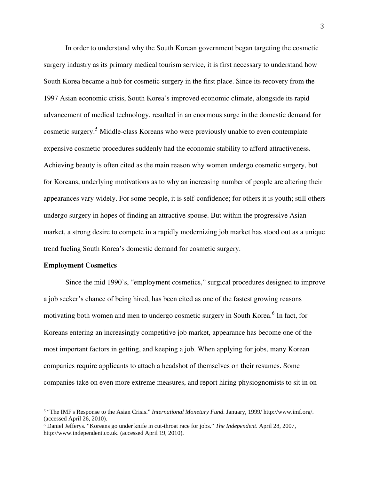In order to understand why the South Korean government began targeting the cosmetic surgery industry as its primary medical tourism service, it is first necessary to understand how South Korea became a hub for cosmetic surgery in the first place. Since its recovery from the 1997 Asian economic crisis, South Korea's improved economic climate, alongside its rapid advancement of medical technology, resulted in an enormous surge in the domestic demand for cosmetic surgery.<sup>[5](#page-2-0)</sup> Middle-class Koreans who were previously unable to even contemplate expensive cosmetic procedures suddenly had the economic stability to afford attractiveness. Achieving beauty is often cited as the main reason why women undergo cosmetic surgery, but for Koreans, underlying motivations as to why an increasing number of people are altering their appearances vary widely. For some people, it is self-confidence; for others it is youth; still others undergo surgery in hopes of finding an attractive spouse. But within the progressive Asian market, a strong desire to compete in a rapidly modernizing job market has stood out as a unique trend fueling South Korea's domestic demand for cosmetic surgery.

#### **Employment Cosmetics**

÷.

Since the mid 1990's, "employment cosmetics," surgical procedures designed to improve a job seeker's chance of being hired, has been cited as one of the fastest growing reasons motivating both women and men to undergo cosmetic surgery in South Korea.<sup>[6](#page-2-1)</sup> In fact, for Koreans entering an increasingly competitive job market, appearance has become one of the most important factors in getting, and keeping a job. When applying for jobs, many Korean companies require applicants to attach a headshot of themselves on their resumes. Some companies take on even more extreme measures, and report hiring physiognomists to sit in on

<span id="page-2-0"></span><sup>5</sup> "The IMF's Response to the Asian Crisis." *International Monetary Fund*. January, 1999/ http://www.imf.org/. (accessed April 26, 2010).

<span id="page-2-1"></span><sup>6</sup> Daniel Jefferys. "Koreans go under knife in cut-throat race for jobs." *The Independent*. April 28, 2007, http://www.independent.co.uk. (accessed April 19, 2010).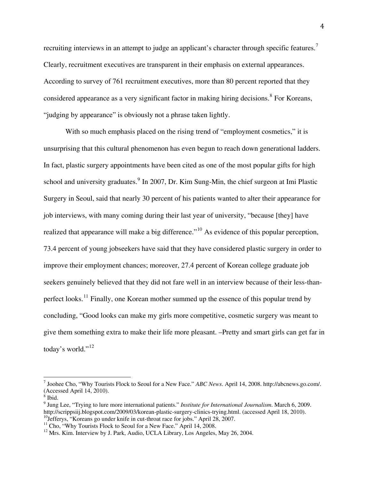recruiting interviews in an attempt to judge an applicant's character through specific features.<sup>[7](#page-3-0)</sup> Clearly, recruitment executives are transparent in their emphasis on external appearances. According to survey of 761 recruitment executives, more than 80 percent reported that they considered appearance as a very significant factor in making hiring decisions.<sup>[8](#page-3-1)</sup> For Koreans, "judging by appearance" is obviously not a phrase taken lightly.

With so much emphasis placed on the rising trend of "employment cosmetics," it is unsurprising that this cultural phenomenon has even begun to reach down generational ladders. In fact, plastic surgery appointments have been cited as one of the most popular gifts for high school and university graduates.<sup>[9](#page-3-2)</sup> In 2007, Dr. Kim Sung-Min, the chief surgeon at Imi Plastic Surgery in Seoul, said that nearly 30 percent of his patients wanted to alter their appearance for job interviews, with many coming during their last year of university, "because [they] have realized that appearance will make a big difference."<sup>[10](#page-3-3)</sup> As evidence of this popular perception, 73.4 percent of young jobseekers have said that they have considered plastic surgery in order to improve their employment chances; moreover, 27.4 percent of Korean college graduate job seekers genuinely believed that they did not fare well in an interview because of their less-than-perfect looks.<sup>[11](#page-3-4)</sup> Finally, one Korean mother summed up the essence of this popular trend by concluding, "Good looks can make my girls more competitive, cosmetic surgery was meant to give them something extra to make their life more pleasant. –Pretty and smart girls can get far in today's world."<sup>[12](#page-3-5)</sup>

<span id="page-3-0"></span><sup>7</sup> Joohee Cho, "Why Tourists Flock to Seoul for a New Face." *ABC News*. April 14, 2008. http://abcnews.go.com/. (Accessed April 14, 2010).

 $8$  Ibid.

<span id="page-3-2"></span><span id="page-3-1"></span><sup>9</sup> Jung Lee, "Trying to lure more international patients." *Institute for International Journalism*. March 6, 2009. http://scrippsiij.blogspot.com/2009/03/korean-plastic-surgery-clinics-trying.html. (accessed April 18, 2010).<br><sup>10</sup>Jefferys, "Koreans go under knife in cut-throat race for jobs." April 28, 2007.<br><sup>11</sup> Cho. "Why Tourists Floc

<span id="page-3-4"></span><span id="page-3-3"></span>

<span id="page-3-5"></span><sup>&</sup>lt;sup>12</sup> Mrs. Kim. Interview by J. Park, Audio, UCLA Library, Los Angeles, May 26, 2004.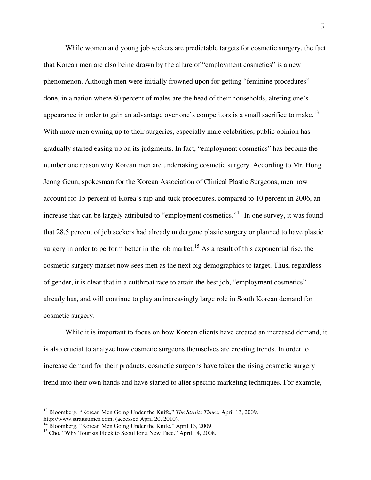While women and young job seekers are predictable targets for cosmetic surgery, the fact that Korean men are also being drawn by the allure of "employment cosmetics" is a new phenomenon. Although men were initially frowned upon for getting "feminine procedures" done, in a nation where 80 percent of males are the head of their households, altering one's appearance in order to gain an advantage over one's competitors is a small sacrifice to make.<sup>[13](#page-4-0)</sup> With more men owning up to their surgeries, especially male celebrities, public opinion has gradually started easing up on its judgments. In fact, "employment cosmetics" has become the number one reason why Korean men are undertaking cosmetic surgery. According to Mr. Hong Jeong Geun, spokesman for the Korean Association of Clinical Plastic Surgeons, men now account for 15 percent of Korea's nip-and-tuck procedures, compared to 10 percent in 2006, an increase that can be largely attributed to "employment cosmetics."<sup>[14](#page-4-1)</sup> In one survey, it was found that 28.5 percent of job seekers had already undergone plastic surgery or planned to have plastic surgery in order to perform better in the job market.<sup>[15](#page-4-2)</sup> As a result of this exponential rise, the cosmetic surgery market now sees men as the next big demographics to target. Thus, regardless of gender, it is clear that in a cutthroat race to attain the best job, "employment cosmetics" already has, and will continue to play an increasingly large role in South Korean demand for cosmetic surgery.

While it is important to focus on how Korean clients have created an increased demand, it is also crucial to analyze how cosmetic surgeons themselves are creating trends. In order to increase demand for their products, cosmetic surgeons have taken the rising cosmetic surgery trend into their own hands and have started to alter specific marketing techniques. For example,

<span id="page-4-0"></span><sup>&</sup>lt;sup>13</sup> Bloomberg, "Korean Men Going Under the Knife," *The Straits Times*, April 13, 2009.<br>http://www.straitstimes.com. (accessed April 20, 2010).

<span id="page-4-1"></span><sup>&</sup>lt;sup>14</sup> Bloomberg, "Korean Men Going Under the Knife." April 13, 2009.

<span id="page-4-2"></span><sup>&</sup>lt;sup>15</sup> Cho, "Why Tourists Flock to Seoul for a New Face." April 14, 2008.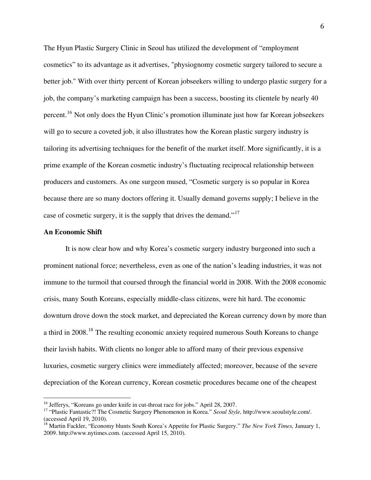The Hyun Plastic Surgery Clinic in Seoul has utilized the development of "employment cosmetics" to its advantage as it advertises, "physiognomy cosmetic surgery tailored to secure a better job." With over thirty percent of Korean jobseekers willing to undergo plastic surgery for a job, the company's marketing campaign has been a success, boosting its clientele by nearly 40 percent.<sup>[16](#page-5-0)</sup> Not only does the Hyun Clinic's promotion illuminate just how far Korean jobseekers will go to secure a coveted job, it also illustrates how the Korean plastic surgery industry is tailoring its advertising techniques for the benefit of the market itself. More significantly, it is a prime example of the Korean cosmetic industry's fluctuating reciprocal relationship between producers and customers. As one surgeon mused, "Cosmetic surgery is so popular in Korea because there are so many doctors offering it. Usually demand governs supply; I believe in the case of cosmetic surgery, it is the supply that drives the demand."[17](#page-5-1)

### **An Economic Shift**

depreciation of the Korean currency, Korean cosmetic procedures became one of the cheapest It is now clear how and why Korea's cosmetic surgery industry burgeoned into such a prominent national force; nevertheless, even as one of the nation's leading industries, it was not immune to the turmoil that coursed through the financial world in 2008. With the 2008 economic crisis, many South Koreans, especially middle-class citizens, were hit hard. The economic downturn drove down the stock market, and depreciated the Korean currency down by more than a third in 2008.[18](#page-5-2) The resulting economic anxiety required numerous South Koreans to change their lavish habits. With clients no longer able to afford many of their previous expensive luxuries, cosmetic surgery clinics were immediately affected; moreover, because of the severe

<span id="page-5-1"></span><span id="page-5-0"></span><sup>&</sup>lt;sup>16</sup> Jefferys, "Koreans go under knife in cut-throat race for jobs." April 28, 2007.<br><sup>17</sup> "Plastic Fantastic?! The Cosmetic Surgery Phenomenon in Korea." *Seoul Style*, http://www.seoulstyle.com/. (accessed April 19, 2010).

<span id="page-5-2"></span><sup>18</sup> Martin Fackler, "Economy blunts South Korea's Appetite for Plastic Surgery." *The New York Times,* January 1, 2009. http://www.nytimes.com. (accessed April 15, 2010).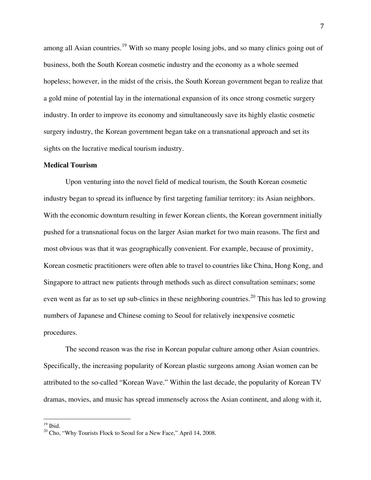among all Asian countries.<sup>[19](#page-6-0)</sup> With so many people losing jobs, and so many clinics going out of business, both the South Korean cosmetic industry and the economy as a whole seemed hopeless; however, in the midst of the crisis, the South Korean government began to realize that a gold mine of potential lay in the international expansion of its once strong cosmetic surgery industry. In order to improve its economy and simultaneously save its highly elastic cosmetic surgery industry, the Korean government began take on a transnational approach and set its sights on the lucrative medical tourism industry.

### **Medical Tourism**

Upon venturing into the novel field of medical tourism, the South Korean cosmetic industry began to spread its influence by first targeting familiar territory: its Asian neighbors. With the economic downturn resulting in fewer Korean clients, the Korean government initially pushed for a transnational focus on the larger Asian market for two main reasons. The first and most obvious was that it was geographically convenient. For example, because of proximity, Korean cosmetic practitioners were often able to travel to countries like China, Hong Kong, and Singapore to attract new patients through methods such as direct consultation seminars; some even went as far as to set up sub-clinics in these neighboring countries.<sup>[20](#page-6-1)</sup> This has led to growing numbers of Japanese and Chinese coming to Seoul for relatively inexpensive cosmetic procedures.

dramas, movies, and music ha s spread immensely across the Asian continent, and along with it, The second reason was the rise in Korean popular culture among other Asian countries. Specifically, the increasing popularity of Korean plastic surgeons among Asian women can be attributed to the so-called "Korean Wave." Within the last decade, the popularity of Korean TV

 $19$  Ibid.

<span id="page-6-1"></span><span id="page-6-0"></span><sup>&</sup>lt;sup>20</sup> Cho, "Why Tourists Flock to Seoul for a New Face," April 14, 2008.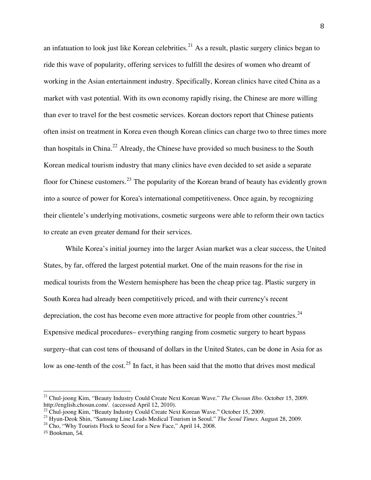an infatuation to look just like Korean celebrities.<sup>[21](#page-7-0)</sup> As a result, plastic surgery clinics began to ride this wave of popularity, offering services to fulfill the desires of women who dreamt of working in the Asian entertainment industry. Specifically, Korean clinics have cited China as a market with vast potential. With its own economy rapidly rising, the Chinese are more willing than ever to travel for the best cosmetic services. Korean doctors report that Chinese patients often insist on treatment in Korea even though Korean clinics can charge two to three times more than hospitals in China.[22](#page-7-1) Already, the Chinese have provided so much business to the South Korean medical tourism industry that many clinics have even decided to set aside a separate floor for Chinese customers.<sup>[23](#page-7-2)</sup> The popularity of the Korean brand of beauty has evidently grown into a source of power for Korea's international competitiveness. Once again, by recognizing their clientele's underlying motivations, cosmetic surgeons were able to reform their own tactics to create an even greater demand for their services.

While Korea's initial journey into the larger Asian market was a clear success, the United States, by far, offered the largest potential market. One of the main reasons for the rise in medical tourists from the Western hemisphere has been the cheap price tag. Plastic surgery in South Korea had already been competitively priced, and with their currency's recent depreciation, the cost has become even more attractive for people from other countries. $^{24}$  $^{24}$  $^{24}$ Expensive medical procedures– everything ranging from cosmetic surgery to heart bypass surgery–that can cost tens of thousand of dollars in the United States, can be done in Asia for as low as one-tenth of the cost.<sup>[25](#page-7-4)</sup> In fact, it has been said that the motto that drives most medical

<span id="page-7-0"></span><sup>&</sup>lt;sup>21</sup> Chul-joong Kim, "Beauty Industry Could Create Next Korean Wave." *The Chosun Ilbo*. October 15, 2009.<br>http://english.chosun.com/. (accessed April 12, 2010).

<span id="page-7-1"></span> $22$  Chul-joong Kim, "Beauty Industry Could Create Next Korean Wave." October 15, 2009.

<span id="page-7-2"></span><sup>&</sup>lt;sup>23</sup> Hyun-Deok Shin, "Samsung Line Leads Medical Tourism in Seoul." *The Seoul Times*. August 28, 2009.

<span id="page-7-3"></span> $4^{\text{24}}$  Cho, "Why Tourists Flock to Seoul for a New Face," April 14, 2008.

<span id="page-7-4"></span><sup>25</sup> Bookman, 54.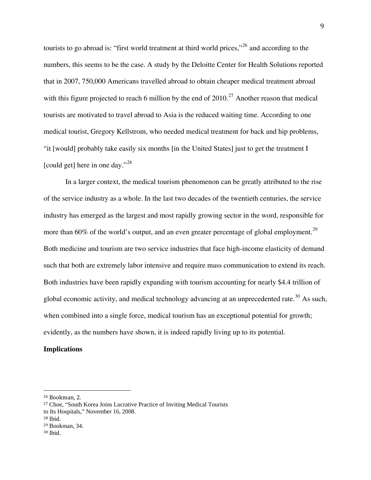tourists to go abroad is: "first world treatment at third world prices,"[26](#page-8-0) and according to the numbers, this seems to be the case. A study by the Deloitte Center for Health Solutions reported that in 2007, 750,000 Americans travelled abroad to obtain cheaper medical treatment abroad with this figure projected to reach 6 million by the end of  $2010<sup>27</sup>$  $2010<sup>27</sup>$  $2010<sup>27</sup>$  Another reason that medical tourists are motivated to travel abroad to Asia is the reduced waiting time. According to one medical tourist, Gregory Kellstrom, who needed medical treatment for back and hip problems, "it [would] probably take easily six months [in the United States] just to get the treatment I [could get] here in one day."<sup>[28](#page-8-2)</sup>

In a larger context, the medical tourism phenomenon can be greatly attributed to the rise of the service industry as a whole. In the last two decades of the twentieth centuries, the service industry has emerged as the largest and most rapidly growing sector in the word, responsible for more than 60% of the world's output, and an even greater percentage of global employment.<sup>[29](#page-8-3)</sup> Both medicine and tourism are two service industries that face high-income elasticity of demand such that both are extremely labor intensive and require mass communication to extend its reach. Both industries have been rapidly expanding with tourism accounting for nearly \$4.4 trillion of global economic activity, and medical technology advancing at an unprecedented rate.<sup>[30](#page-8-4)</sup> As such, when combined into a single force, medical tourism has an exceptional potential for growth; evidently, as the numbers have shown, it is indeed rapidly living up to its potential.

# **Implications**

 $\overline{\phantom{a}}$ 

<span id="page-8-0"></span> 26 Bookman, 2.

<span id="page-8-1"></span><sup>&</sup>lt;sup>27</sup> Choe, "South Korea Joins Lucrative Practice of Inviting Medical Tourists

to Its Ho spitals," November 16, 2008.

<span id="page-8-3"></span><span id="page-8-2"></span><sup>28</sup> Ibid.

 $29$  Bookman, 34.

<span id="page-8-4"></span><sup>30</sup> Ibid.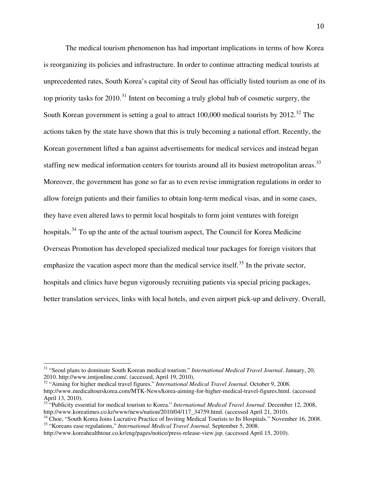The medical tourism phenomenon has had important implications in terms of how Korea is reorganizing its policies and infrastructure. In order to continue attracting medical tourists at unprecedented rates, South Korea's capital city of Seoul has officially listed tourism as one of its top priority tasks for  $2010<sup>31</sup>$  $2010<sup>31</sup>$  $2010<sup>31</sup>$  Intent on becoming a truly global hub of cosmetic surgery, the South Korean government is setting a goal to attract 100,000 medical tourists by  $2012.^{32}$  $2012.^{32}$  $2012.^{32}$  The actions taken by the state have shown that this is truly becoming a national effort. Recently, the Korean government lifted a ban against advertisements for medical services and instead began staffing new medical information centers for tourists around all its busiest metropolitan areas.<sup>[33](#page-9-2)</sup> Moreover, the government has gone so far as to even revise immigration regulations in order to allow foreign patients and their families to obtain long-term medical visas, and in some cases, they have even altered laws to permit local hospitals to form joint ventures with foreign hospitals.<sup>[34](#page-9-3)</sup> To up the ante of the actual tourism aspect, The Council for Korea Medicine Overseas Promotion has developed specialized medical tour packages for foreign visitors that emphasize the vacation aspect more than the medical service itself.<sup>[35](#page-9-4)</sup> In the private sector, hospitals and clinics have begun vigorously recruiting patients via special pricing packages, better translation services, links with local hotels, and even airport pick-up and delivery. Overall,

<span id="page-9-0"></span><sup>&</sup>lt;sup>31</sup> "Seoul plans to dominate South Korean medical tourism." *International Medical Travel Journal*. January, 20, 2010. http://www.imtjonline.com/. (accessed, April 19, 2010).

<span id="page-9-1"></span><sup>&</sup>lt;sup>32</sup> "Aiming for higher medical travel figures." *International Medical Travel Journal*. October 9, 2008. http://www.medicaltourskorea.com/MTK-News/korea-aiming-for-higher-medical-travel-figures.html. (accessed April 13, 2010).

<span id="page-9-2"></span><sup>&</sup>lt;sup>33</sup> "Publicity essential for medical tourism to Korea." *International Medical Travel Journal*. December 12, 2008, http://www.koreatimes.co.kr/www/news/nation/2010/04/117 34759.html. (accessed April 21, 2010).

<span id="page-9-3"></span> $134$  Choe, "South Korea Joins Lucrative Practice of Inviting Medical Tourists to Its Hospitals." November 16, 2008. 35 "Koreans ease regulations," *International Medical Travel Journal*. September 5, 2008.

<span id="page-9-4"></span>http://www.koreahealthtour.co.kr/eng/pages/notice/press-release-view.jsp. (accessed April 15, 2010).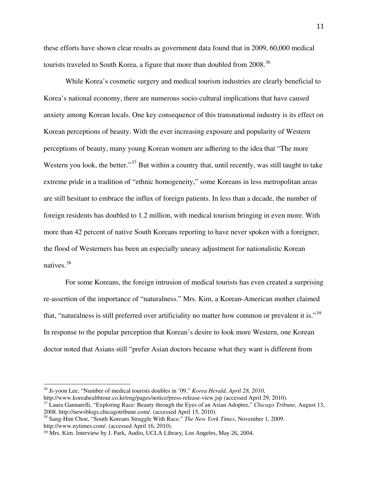these efforts have shown clear results as government data found that in 2009, 60,000 medical tourists traveled to South Korea, a figure that more than doubled from 2008.<sup>[36](#page-10-0)</sup>

While Korea's cosmetic surgery and medical tourism industries are clearly beneficial to Korea's national economy, there are numerous socio-cultural implications that have caused anxiety among Korean locals. One key consequence of this transnational industry is its effect on Korean perceptions of beauty. With the ever increasing exposure and popularity of Western perceptions of beauty, many young Korean women are adhering to the idea that "The more Western you look, the better."<sup>[37](#page-10-1)</sup> But within a country that, until recently, was still taught to take extreme pride in a tradition of "ethnic homogeneity," some Koreans in less metropolitan areas are still hesitant to embrace the influx of foreign patients. In less than a decade, the number of foreign residents has doubled to 1.2 million, with medical tourism bringing in even more. With more than 42 percent of native South Koreans reporting to have never spoken with a foreigner, the flood of Westerners has been an especially uneasy adjustment for nationalistic Korean natives.[38](#page-10-2)

For some Koreans, the foreign intrusion of medical tourists has even created a surprising re-assertion of the importance of "naturalness." Mrs. Kim, a Korean-American mother claimed that, "naturalness is still preferred over artificiality no matter how common or prevalent it is."<sup>[39](#page-10-3)</sup> In response to the popular perception that Korean's desire to look more Western, one Korean doctor noted that Asians still "prefer Asian doctors because what they want is different from

<span id="page-10-0"></span><sup>&</sup>lt;sup>36</sup> Ji-yoon Lee, "Number of medical tourists doubles in '09," *Korea Herald, April 28, 2010,* <br>http://www.koreahealthtour.co.kr/eng/pages/notice/press-release-view.jsp (accessed April 29, 2010).

<span id="page-10-1"></span><sup>&</sup>lt;sup>37</sup> Laura Gannarelli, "Exploring Race: Beauty through the Eyes of an Asian Adoptee," *Chicago Tribune*, August 13, 2008. http://newsblogs.chicagotribune.com/. (accessed April 15, 2010).<br><sup>38</sup> Sang-Hun Choe, "South Koreans Struggle With Race." *The New York Times*, November 1, 2009.

<span id="page-10-2"></span>http://www.nytimes.com/. (accessed April 16, 2010).

<span id="page-10-3"></span><sup>39</sup> Mrs. Kim. Interview by J. Park, Audio, UCLA Library, Los Angeles, May 26, 2004.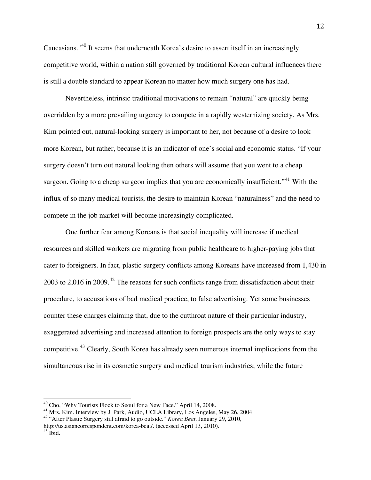Caucasians."[40](#page-11-0) It seems that underneath Korea's desire to assert itself in an increasingly competitive world, within a nation still governed by traditional Korean cultural influences there is still a double standard to appear Korean no matter how much surgery one has had.

Nevertheless, intrinsic traditional motivations to remain "natural" are quickly being overridden by a more prevailing urgency to compete in a rapidly westernizing society. As Mrs. Kim pointed out, natural-looking surgery is important to her, not because of a desire to look more Korean, but rather, because it is an indicator of one's social and economic status. "If your surgery doesn't turn out natural looking then others will assume that you went to a cheap surgeon. Going to a cheap surgeon implies that you are economically insufficient."<sup>[41](#page-11-1)</sup> With the influx of so many medical tourists, the desire to maintain Korean "naturalness" and the need to compete in the job market will become increasingly complicated.

One further fear among Koreans is that social inequality will increase if medical resources and skilled workers are migrating from public healthcare to higher-paying jobs that cater to foreigners. In fact, plastic surgery conflicts among Koreans have increased from 1,430 in 2003 to 2,016 in 2009.<sup>[42](#page-11-2)</sup> The reasons for such conflicts range from dissatisfaction about their procedure, to accusations of bad medical practice, to false advertising. Yet some businesses counter these charges claiming that, due to the cutthroat nature of their particular industry, exaggerated advertising and increased attention to foreign prospects are the only ways to stay competitive.<sup>[43](#page-11-3)</sup> Clearly, South Korea has already seen numerous internal implications from the simultaneous rise in its cosmetic surgery and medical tourism industries; while the future

<span id="page-11-0"></span><sup>&</sup>lt;sup>40</sup> Cho, "Why Tourists Flock to Seoul for a New Face." April 14, 2008.

<span id="page-11-1"></span><sup>&</sup>lt;sup>41</sup> Mrs. Kim. Interview by J. Park, Audio, UCLA Library, Los Angeles, May 26, 2004

<sup>42 &</sup>quot;After Plastic Surgery still afraid to go outside." *Korea Beat*. January 29, 2010,

<span id="page-11-3"></span><span id="page-11-2"></span>http://us.asiancorrespondent.com/korea-beat/. (accessed April 13, 2010).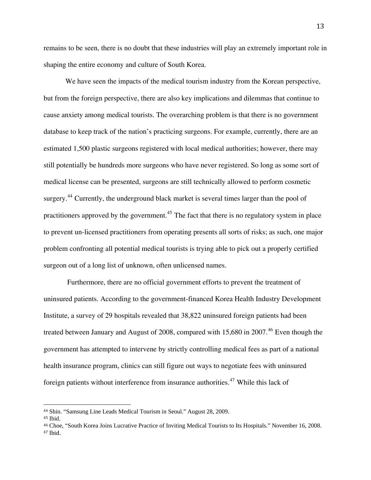remains to be seen, there is no doubt that these industries will play an extremely important role in shaping the entire economy and culture of South Korea.

We have seen the impacts of the medical tourism industry from the Korean perspective, but from the foreign perspective, there are also key implications and dilemmas that continue to cause anxiety among medical tourists. The overarching problem is that there is no government database to keep track of the nation's practicing surgeons. For example, currently, there are an estimated 1,500 plastic surgeons registered with local medical authorities; however, there may still potentially be hundreds more surgeons who have never registered. So long as some sort of medical license can be presented, surgeons are still technically allowed to perform cosmetic surgery.<sup>[44](#page-12-0)</sup> Currently, the underground black market is several times larger than the pool of practitioners approved by the government.<sup>[45](#page-12-1)</sup> The fact that there is no regulatory system in place to prevent un-licensed practitioners from operating presents all sorts of risks; as such, one major problem confronting all potential medical tourists is trying able to pick out a properly certified surgeon out of a long list of unknown, often unlicensed names.

 Furthermore, there are no official government efforts to prevent the treatment of uninsured patients. According to the government-financed Korea Health Industry Development Institute, a survey of 29 hospitals revealed that 38,822 uninsured foreign patients had been treated between January and August of 2008, compared with 15,680 in 2007.<sup>[46](#page-12-2)</sup> Even though the government has attempted to intervene by strictly controlling medical fees as part of a national health insurance program, clinics can still figure out ways to negotiate fees with uninsured foreign patients without interference from insurance authorities.<sup>[47](#page-12-3)</sup> While this lack of

<span id="page-12-0"></span><sup>44</sup> Shin. "Samsung Line Leads Medical Tourism in Seoul." August 28, 2009.

<span id="page-12-1"></span><sup>45</sup> Ibid.

<span id="page-12-3"></span><span id="page-12-2"></span><sup>&</sup>lt;sup>46</sup> Choe, "South Korea Joins Lucrative Practice of Inviting Medical Tourists to Its Hospitals." November 16, 2008. 47 Ibid.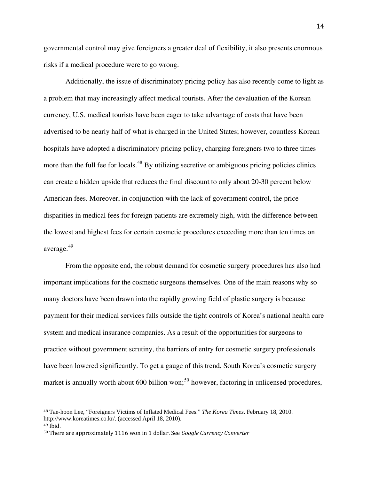governmental control may give foreigners a greater deal of flexibility, it also presents enormous risks if a medical procedure were to go wrong.

 Additionally, the issue of discriminatory pricing policy has also recently come to light as a problem that may increasingly affect medical tourists. After the devaluation of the Korean currency, U.S. medical tourists have been eager to take advantage of costs that have been advertised to be nearly half of what is charged in the United States; however, countless Korean hospitals have adopted a discriminatory pricing policy, charging foreigners two to three times more than the full fee for locals.<sup>[48](#page-13-0)</sup> By utilizing secretive or ambiguous pricing policies clinics can create a hidden upside that reduces the final discount to only about 20-30 percent below American fees. Moreover, in conjunction with the lack of government control, the price disparities in medical fees for foreign patients are extremely high, with the difference between the lowest and highest fees for certain cosmetic procedures exceeding more than ten times on average.[49](#page-13-1)

From the opposite end, the robust demand for cosmetic surgery procedures has also had important implications for the cosmetic surgeons themselves. One of the main reasons why so many doctors have been drawn into the rapidly growing field of plastic surgery is because payment for their medical services falls outside the tight controls of Korea's national health care system and medical insurance companies. As a result of the opportunities for surgeons to practice without government scrutiny, the barriers of entry for cosmetic surgery professionals have been lowered significantly. To get a gauge of this trend, South Korea's cosmetic surgery market is annually worth about 600 billion won;<sup>[50](#page-13-2)</sup> however, factoring in unlicensed procedures,

<span id="page-13-0"></span><sup>&</sup>lt;sup>48</sup> Tae-hoon Lee, "Foreigners Victims of Inflated Medical Fees." *The Korea Times*. February 18, 2010. http://www.koreatimes.co.kr/. (accessed April 18, 2010).

<span id="page-13-1"></span><sup>49</sup> Ibid.

<span id="page-13-2"></span><sup>50</sup> There are approximately 1116 won in 1 dollar. See *Google Currency Converter*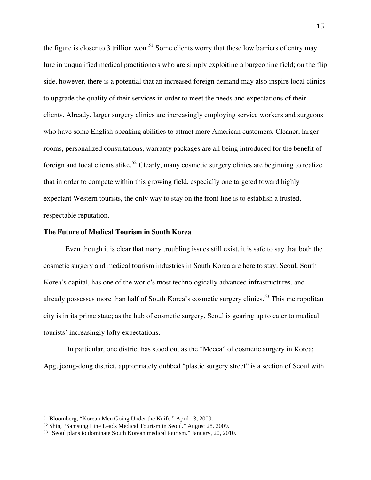the figure is closer to 3 trillion won.<sup>[51](#page-14-0)</sup> Some clients worry that these low barriers of entry may lure in unqualified medical practitioners who are simply exploiting a burgeoning field; on the flip side, however, there is a potential that an increased foreign demand may also inspire local clinics to upgrade the quality of their services in order to meet the needs and expectations of their clients. Already, larger surgery clinics are increasingly employing service workers and surgeons who have some English-speaking abilities to attract more American customers. Cleaner, larger rooms, personalized consultations, warranty packages are all being introduced for the benefit of foreign and local clients alike.<sup>[52](#page-14-1)</sup> Clearly, many cosmetic surgery clinics are beginning to realize that in order to compete within this growing field, especially one targeted toward highly expectant Western tourists, the only way to stay on the front line is to establish a trusted, respectable reputation.

### **The Future of Medical Tourism in South Korea**

Even though it is clear that many troubling issues still exist, it is safe to say that both the cosmetic surgery and medical tourism industries in South Korea are here to stay. Seoul, South Korea's capital, has one of the world's most technologically advanced infrastructures, and already possesses more than half of South Korea's cosmetic surgery clinics.<sup>[53](#page-14-2)</sup> This metropolitan city is in its prime state; as the hub of cosmetic surgery, Seoul is gearing up to cater to medical tourists' increasingly lofty expectations.

 In particular, one district has stood out as the "Mecca" of cosmetic surgery in Korea; Apgujeong-dong district, appropriately dubbed "plastic surgery street" is a section of Seoul with

<sup>51</sup> Bloomberg, "Korean Men Going Under the Knife." April 13, 2009.

<span id="page-14-1"></span><span id="page-14-0"></span><sup>&</sup>lt;sup>52</sup> Shin, "Samsung Line Leads Medical Tourism in Seoul." August 28, 2009.

<span id="page-14-2"></span><sup>53</sup> "Seoul plans to dominate South Korean medical tourism." January, 20, 2010.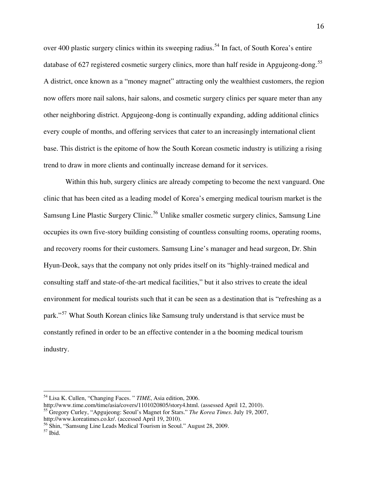over 400 plastic surgery clinics within its sweeping radius.<sup>[54](#page-15-0)</sup> In fact, of South Korea's entire database of 627 registered cosmetic surgery clinics, more than half reside in Apgujeong-dong.<sup>[55](#page-15-1)</sup> A district, once known as a "money magnet" attracting only the wealthiest customers, the region now offers more nail salons, hair salons, and cosmetic surgery clinics per square meter than any other neighboring district. Apgujeong-dong is continually expanding, adding additional clinics every couple of months, and offering services that cater to an increasingly international client base. This district is the epitome of how the South Korean cosmetic industry is utilizing a rising trend to draw in more clients and continually increase demand for it services.

Within this hub, surgery clinics are already competing to become the next vanguard. One clinic that has been cited as a leading model of Korea's emerging medical tourism market is the Samsung Line Plastic Surgery Clinic.<sup>[56](#page-15-2)</sup> Unlike smaller cosmetic surgery clinics, Samsung Line occupies its own five-story building consisting of countless consulting rooms, operating rooms, and recovery rooms for their customers. Samsung Line's manager and head surgeon, Dr. Shin Hyun-Deok, says that the company not only prides itself on its "highly-trained medical and consulting staff and state-of-the-art medical facilities," but it also strives to create the ideal environment for medical tourists such that it can be seen as a destination that is "refreshing as a park."<sup>[57](#page-15-3)</sup> What South Korean clinics like Samsung truly understand is that service must be constantly refined in order to be an effective contender in a the booming medical tourism industry.

<span id="page-15-0"></span><sup>54</sup> Lisa K. Cullen, "Changing Faces. " *TIME*, Asia edition, 2006.

http://www.time.com/time/asia/covers/1101020805/story4.html. (assessed April 12, 2010).

<span id="page-15-1"></span><sup>55</sup> Gregory Curley, "Apgujeong: Seoul's Magnet for Stars." *The Korea Times*. July 19, 2007, http://www.koreatimes.co.kr/. (accessed April 19, 2010).

<span id="page-15-2"></span><sup>56</sup> Shin, "Samsung Line Leads Medical Tourism in Seoul." August 28, 2009.

<span id="page-15-3"></span> $57$  Ibid.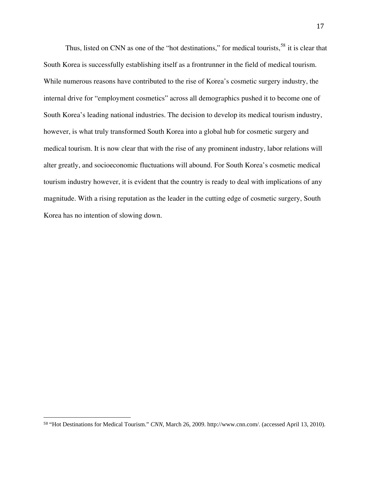Thus, listed on CNN as one of the "hot destinations," for medical tourists,  $58$  it is clear that South Korea is successfully establishing itself as a frontrunner in the field of medical tourism. While numerous reasons have contributed to the rise of Korea's cosmetic surgery industry, the internal drive for "employment cosmetics" across all demographics pushed it to become one of South Korea's leading national industries. The decision to develop its medical tourism industry, however, is what truly transformed South Korea into a global hub for cosmetic surgery and medical tourism. It is now clear that with the rise of any prominent industry, labor relations will alter greatly, and socioeconomic fluctuations will abound. For South Korea's cosmetic medical tourism industry however, it is evident that the country is ready to deal with implications of any magnitude. With a rising reputation as the leader in the cutting edge of cosmetic surgery, South Korea has no intention of slowing down.

÷,

<span id="page-16-0"></span><sup>58</sup> "Hot Destinations for Medical Tourism." *CNN,* March 26, 2009. http://www.cnn.com/. (accessed April 13, 2010).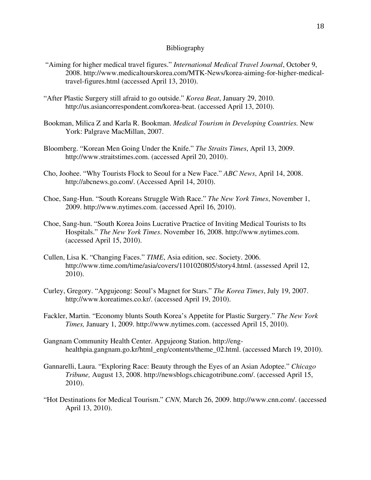# Bibliography

- "Aiming for higher medical travel figures." *International Medical Travel Journal*, October 9, 2008. http://www.medicaltourskorea.com/MTK-News/korea-aiming-for-higher-medicaltravel-figures.html (accessed April 13, 2010).
- "After Plastic Surgery still afraid to go outside." *Korea Beat*, January 29, 2010. http://us.asiancorrespondent.com/korea-beat. (accessed April 13, 2010).
- Bookman, Milica Z and Karla R. Bookman. *Medical Tourism in Developing Countries.* New York: Palgrave MacMillan, 2007.
- Bloomberg. "Korean Men Going Under the Knife." *The Straits Times*, April 13, 2009. http://www.straitstimes.com. (accessed April 20, 2010).
- Cho, Joohee. "Why Tourists Flock to Seoul for a New Face." *ABC News*, April 14, 2008. http://abcnews.go.com/. (Accessed April 14, 2010).
- Choe, Sang-Hun. "South Koreans Struggle With Race." *The New York Times*, November 1, 2009. http://www.nytimes.com. (accessed April 16, 2010).
- Choe, Sang-hun. "South Korea Joins Lucrative Practice of Inviting Medical Tourists to Its Hospitals." *The New York Times*. November 16, 2008. http://www.nytimes.com. (accessed April 15, 2010).
- Cullen, Lisa K. "Changing Faces." *TIME*, Asia edition, sec. Society. 2006. http://www.time.com/time/asia/covers/1101020805/story4.html. (assessed April 12, 2010).
- Curley, Gregory. "Apgujeong: Seoul's Magnet for Stars." *The Korea Times*, July 19, 2007. http://www.koreatimes.co.kr/. (accessed April 19, 2010).
- Fackler, Martin. "Economy blunts South Korea's Appetite for Plastic Surgery." *The New York Times,* January 1, 2009. http://www.nytimes.com. (accessed April 15, 2010).
- Gangnam Community Health Center. Apgujeong Station. http://enghealthpia.gangnam.go.kr/html\_eng/contents/theme\_02.html. (accessed March 19, 2010).
- Gannarelli, Laura. "Exploring Race: Beauty through the Eyes of an Asian Adoptee." *Chicago Tribune,* August 13, 2008. http://newsblogs.chicagotribune.com/. (accessed April 15, 2010).
- "Hot Destinations for Medical Tourism." *CNN,* March 26, 2009. http://www.cnn.com/. (accessed April 13, 2010).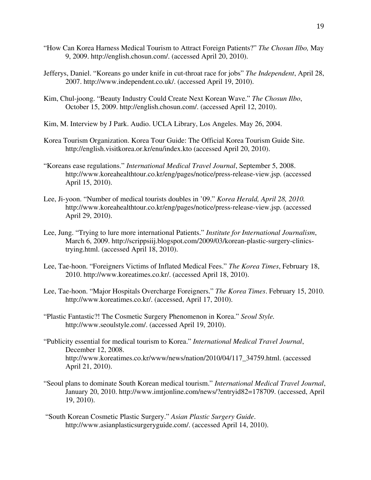- "How Can Korea Harness Medical Tourism to Attract Foreign Patients?" *The Chosun Ilbo,* May 9, 2009. http://english.chosun.com/. (accessed April 20, 2010).
- Jefferys, Daniel. "Koreans go under knife in cut-throat race for jobs" *The Independent*, April 28, 2007. http://www.independent.co.uk/. (accessed April 19, 2010).
- Kim, Chul-joong. "Beauty Industry Could Create Next Korean Wave." *The Chosun Ilbo*, October 15, 2009. http://english.chosun.com/. (accessed April 12, 2010).
- Kim, M. Interview by J Park. Audio. UCLA Library, Los Angeles. May 26, 2004.
- Korea Tourism Organization. Korea Tour Guide: The Official Korea Tourism Guide Site. http://english.visitkorea.or.kr/enu/index.kto (accessed April 20, 2010).
- "Koreans ease regulations." *International Medical Travel Journal*, September 5, 2008. http://www.koreahealthtour.co.kr/eng/pages/notice/press-release-view.jsp. (accessed April 15, 2010).
- Lee, Ji-yoon. "Number of medical tourists doubles in '09." *Korea Herald, April 28, 2010.*  http://www.koreahealthtour.co.kr/eng/pages/notice/press-release-view.jsp. (accessed April 29, 2010).
- Lee, Jung. "Trying to lure more international Patients." *Institute for International Journalism*, March 6, 2009. http://scrippsiij.blogspot.com/2009/03/korean-plastic-surgery-clinicstrying.html. (accessed April 18, 2010).
- Lee, Tae-hoon. "Foreigners Victims of Inflated Medical Fees." *The Korea Times*, February 18, 2010. http://www.koreatimes.co.kr/. (accessed April 18, 2010).
- Lee, Tae-hoon. "Major Hospitals Overcharge Foreigners." *The Korea Times*. February 15, 2010. http://www.koreatimes.co.kr/. (accessed, April 17, 2010).
- "Plastic Fantastic?! The Cosmetic Surgery Phenomenon in Korea." *Seoul Style.* http://www.seoulstyle.com/. (accessed April 19, 2010).
- "Publicity essential for medical tourism to Korea." *International Medical Travel Journal*, December 12, 2008. http://www.koreatimes.co.kr/www/news/nation/2010/04/117\_34759.html. (accessed April 21, 2010).
- "Seoul plans to dominate South Korean medical tourism." *International Medical Travel Journal*, January 20, 2010. http://www.imtjonline.com/news/?entryid82=178709. (accessed, April 19, 2010).
- "South Korean Cosmetic Plastic Surgery." *Asian Plastic Surgery Guide*. http://www.asianplasticsurgeryguide.com/. (accessed April 14, 2010).